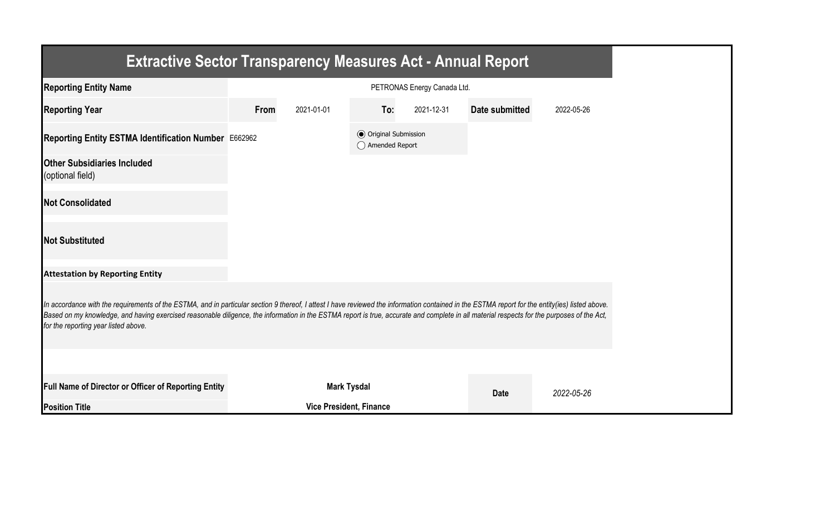| <b>Extractive Sector Transparency Measures Act - Annual Report</b>                                                                                                                                                                                                                                                                                                                                                                    |      |                                |                                                  |                             |                       |            |  |  |
|---------------------------------------------------------------------------------------------------------------------------------------------------------------------------------------------------------------------------------------------------------------------------------------------------------------------------------------------------------------------------------------------------------------------------------------|------|--------------------------------|--------------------------------------------------|-----------------------------|-----------------------|------------|--|--|
| <b>Reporting Entity Name</b>                                                                                                                                                                                                                                                                                                                                                                                                          |      |                                |                                                  | PETRONAS Energy Canada Ltd. |                       |            |  |  |
| <b>Reporting Year</b>                                                                                                                                                                                                                                                                                                                                                                                                                 | From | 2021-01-01                     | To:                                              | 2021-12-31                  | <b>Date submitted</b> | 2022-05-26 |  |  |
| Reporting Entity ESTMA Identification Number E662962                                                                                                                                                                                                                                                                                                                                                                                  |      |                                | <b>◎</b> Original Submission<br>◯ Amended Report |                             |                       |            |  |  |
| <b>Other Subsidiaries Included</b><br>(optional field)                                                                                                                                                                                                                                                                                                                                                                                |      |                                |                                                  |                             |                       |            |  |  |
| <b>Not Consolidated</b>                                                                                                                                                                                                                                                                                                                                                                                                               |      |                                |                                                  |                             |                       |            |  |  |
| <b>Not Substituted</b>                                                                                                                                                                                                                                                                                                                                                                                                                |      |                                |                                                  |                             |                       |            |  |  |
| <b>Attestation by Reporting Entity</b>                                                                                                                                                                                                                                                                                                                                                                                                |      |                                |                                                  |                             |                       |            |  |  |
| In accordance with the requirements of the ESTMA, and in particular section 9 thereof, I attest I have reviewed the information contained in the ESTMA report for the entity(ies) listed above.<br>Based on my knowledge, and having exercised reasonable diligence, the information in the ESTMA report is true, accurate and complete in all material respects for the purposes of the Act,<br>for the reporting year listed above. |      |                                |                                                  |                             |                       |            |  |  |
|                                                                                                                                                                                                                                                                                                                                                                                                                                       |      |                                |                                                  |                             |                       |            |  |  |
| Full Name of Director or Officer of Reporting Entity                                                                                                                                                                                                                                                                                                                                                                                  |      | <b>Mark Tysdal</b>             |                                                  |                             | <b>Date</b>           | 2022-05-26 |  |  |
| <b>Position Title</b>                                                                                                                                                                                                                                                                                                                                                                                                                 |      | <b>Vice President, Finance</b> |                                                  |                             |                       |            |  |  |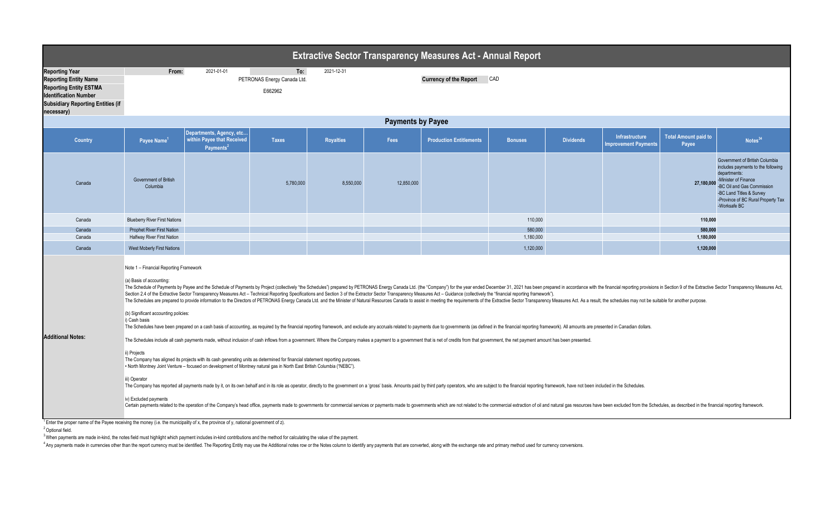| <b>Extractive Sector Transparency Measures Act - Annual Report</b>                                                                                                               |                                                                                                                                                                                                                                                                                                                                                                                                                                                                                                                                                                                                                                                                                                                                                                                                                                                                                                                                                                                                                                                                                                                                                                                                                                                                                                                                                                                                                                                                                                                                                                                                                                                                                                                                                                                                                                                                                                                                                                                                                                                                                                |                                                                                 |                                               |                  |            |                                |                |                  |                                               |                                      |                                                                                                                                                                                                                              |
|----------------------------------------------------------------------------------------------------------------------------------------------------------------------------------|------------------------------------------------------------------------------------------------------------------------------------------------------------------------------------------------------------------------------------------------------------------------------------------------------------------------------------------------------------------------------------------------------------------------------------------------------------------------------------------------------------------------------------------------------------------------------------------------------------------------------------------------------------------------------------------------------------------------------------------------------------------------------------------------------------------------------------------------------------------------------------------------------------------------------------------------------------------------------------------------------------------------------------------------------------------------------------------------------------------------------------------------------------------------------------------------------------------------------------------------------------------------------------------------------------------------------------------------------------------------------------------------------------------------------------------------------------------------------------------------------------------------------------------------------------------------------------------------------------------------------------------------------------------------------------------------------------------------------------------------------------------------------------------------------------------------------------------------------------------------------------------------------------------------------------------------------------------------------------------------------------------------------------------------------------------------------------------------|---------------------------------------------------------------------------------|-----------------------------------------------|------------------|------------|--------------------------------|----------------|------------------|-----------------------------------------------|--------------------------------------|------------------------------------------------------------------------------------------------------------------------------------------------------------------------------------------------------------------------------|
| <b>Reporting Year</b><br><b>Reporting Entity Name</b><br><b>Reporting Entity ESTMA</b><br><b>Identification Number</b><br><b>Subsidiary Reporting Entities (if</b><br>necessary) | From:                                                                                                                                                                                                                                                                                                                                                                                                                                                                                                                                                                                                                                                                                                                                                                                                                                                                                                                                                                                                                                                                                                                                                                                                                                                                                                                                                                                                                                                                                                                                                                                                                                                                                                                                                                                                                                                                                                                                                                                                                                                                                          | 2021-01-01                                                                      | To:<br>PETRONAS Energy Canada Ltd.<br>E662962 | 2021-12-31       |            | <b>Currency of the Report</b>  | CAD            |                  |                                               |                                      |                                                                                                                                                                                                                              |
|                                                                                                                                                                                  | <b>Payments by Payee</b>                                                                                                                                                                                                                                                                                                                                                                                                                                                                                                                                                                                                                                                                                                                                                                                                                                                                                                                                                                                                                                                                                                                                                                                                                                                                                                                                                                                                                                                                                                                                                                                                                                                                                                                                                                                                                                                                                                                                                                                                                                                                       |                                                                                 |                                               |                  |            |                                |                |                  |                                               |                                      |                                                                                                                                                                                                                              |
| <b>Country</b>                                                                                                                                                                   | Payee Name <sup>1</sup>                                                                                                                                                                                                                                                                                                                                                                                                                                                                                                                                                                                                                                                                                                                                                                                                                                                                                                                                                                                                                                                                                                                                                                                                                                                                                                                                                                                                                                                                                                                                                                                                                                                                                                                                                                                                                                                                                                                                                                                                                                                                        | Departments, Agency, etc<br>within Payee that Received<br>Payments <sup>2</sup> | <b>Taxes</b>                                  | <b>Royalties</b> | Fees       | <b>Production Entitlements</b> | <b>Bonuses</b> | <b>Dividends</b> | Infrastructure<br><b>Improvement Payments</b> | <b>Total Amount paid to</b><br>Payee | Notes <sup>34</sup>                                                                                                                                                                                                          |
| Canada                                                                                                                                                                           | <b>Government of British</b><br>Columbia                                                                                                                                                                                                                                                                                                                                                                                                                                                                                                                                                                                                                                                                                                                                                                                                                                                                                                                                                                                                                                                                                                                                                                                                                                                                                                                                                                                                                                                                                                                                                                                                                                                                                                                                                                                                                                                                                                                                                                                                                                                       |                                                                                 | 5,780,000                                     | 8,550,000        | 12,850,000 |                                |                |                  |                                               | 27,180,000                           | Government of British Columbia<br>includes payments to the following<br>departments:<br>-Minister of Finance<br>-BC Oil and Gas Commission<br>-BC Land Titles & Survey<br>-Province of BC Rural Property Tax<br>-Worksafe BC |
| Canada                                                                                                                                                                           | <b>Blueberry River First Nations</b>                                                                                                                                                                                                                                                                                                                                                                                                                                                                                                                                                                                                                                                                                                                                                                                                                                                                                                                                                                                                                                                                                                                                                                                                                                                                                                                                                                                                                                                                                                                                                                                                                                                                                                                                                                                                                                                                                                                                                                                                                                                           |                                                                                 |                                               |                  |            |                                | 110,000        |                  |                                               | 110,000                              |                                                                                                                                                                                                                              |
| Canada                                                                                                                                                                           | Prophet River First Nation                                                                                                                                                                                                                                                                                                                                                                                                                                                                                                                                                                                                                                                                                                                                                                                                                                                                                                                                                                                                                                                                                                                                                                                                                                                                                                                                                                                                                                                                                                                                                                                                                                                                                                                                                                                                                                                                                                                                                                                                                                                                     |                                                                                 |                                               |                  |            |                                | 580,000        |                  |                                               | 580,000                              |                                                                                                                                                                                                                              |
| Canada                                                                                                                                                                           | <b>Halfway River First Nation</b>                                                                                                                                                                                                                                                                                                                                                                                                                                                                                                                                                                                                                                                                                                                                                                                                                                                                                                                                                                                                                                                                                                                                                                                                                                                                                                                                                                                                                                                                                                                                                                                                                                                                                                                                                                                                                                                                                                                                                                                                                                                              |                                                                                 |                                               |                  |            |                                | 1,180,000      |                  |                                               | 1,180,000                            |                                                                                                                                                                                                                              |
| Canada                                                                                                                                                                           | West Moberly First Nations                                                                                                                                                                                                                                                                                                                                                                                                                                                                                                                                                                                                                                                                                                                                                                                                                                                                                                                                                                                                                                                                                                                                                                                                                                                                                                                                                                                                                                                                                                                                                                                                                                                                                                                                                                                                                                                                                                                                                                                                                                                                     |                                                                                 |                                               |                  |            |                                | 1,120,000      |                  |                                               | 1,120,000                            |                                                                                                                                                                                                                              |
| <b>Additional Notes:</b><br>$^1$ Enter the proper name of the Payee receiving the money (i.e. the municipality of x, the province of y, national government of z).               | Note 1 - Financial Reporting Framework<br>(a) Basis of accounting:<br>The Schedule of Payments by Payee and the Schedule of Payments by Project (collectively "the Schedules") prepared by PETRONAS Energy Canada Ltd. (the "Company") for the year ended December 31, 2021 has been prepared in acc<br>Section 2.4 of the Extractive Sector Transparency Measures Act - Technical Reporting Specifications and Section 3 of the Extractor Sector Transparency Measures Act - Guidance (collectively the "financial reporting framewor<br>The Schedules are prepared to provide information to the Directors of PETRONAS Energy Canada Ltd. and the Minister of Natural Resources Canada to assist in meeting the requirements of the Extractive Sector Transparency Mea<br>(b) Significant accounting policies:<br>i) Cash basis<br>The Schedules have been prepared on a cash basis of accounting, as required by the financial reporting framework, and exclude any accruals related to payments due to governments (as defined in the financial reporting frame<br>The Schedules include all cash payments made, without inclusion of cash inflows from a government. Where the Company makes a payment to a government that is net of credits from that government, the net payment amount has b<br>ii) Projects<br>The Company has aligned its projects with its cash generating units as determined for financial statement reporting purposes.<br>. North Montney Joint Venture - focused on development of Montney natural gas in North East British Columbia ("NEBC").<br>iii) Operator<br>The Company has reported all payments made by it, on its own behalf and in its role as operator, directly to the government on a 'gross' basis. Amounts paid by third party operators, who are subject to the financial report<br>iv) Excluded payments<br>Certain payments related to the operation of the Company's head office, payments made to governments for commercial services or payments made to governments which are not related to the commercial extraction of oil and nat |                                                                                 |                                               |                  |            |                                |                |                  |                                               |                                      |                                                                                                                                                                                                                              |

<sup>2</sup> Optional field.

<sup>3</sup>When payments are made in-kind, the notes field must highlight which payment includes in-kind contributions and the method for calculating the value of the payment.

<sup>4</sup> Any payments made in currencies other than the report currency must be identified. The Reporting Entity may use the Additional notes row or the Notes column to identify any payments that are converted, along with the e